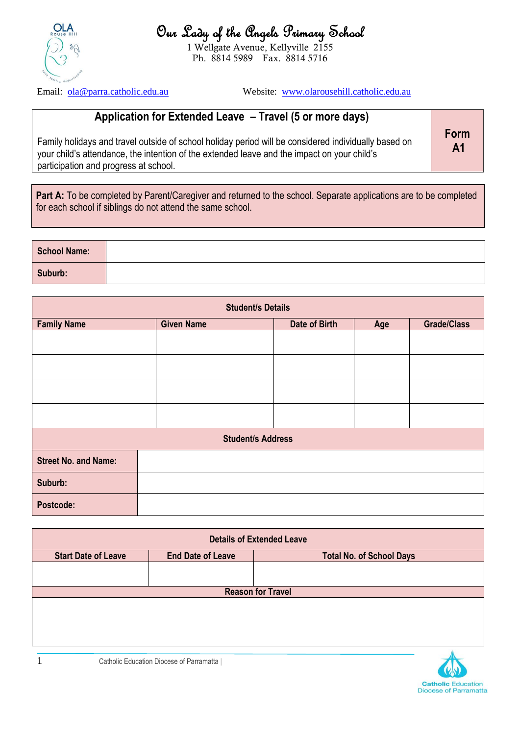

Our Lady of the Angels Primary School

1 Wellgate Avenue, Kellyville 2155 Ph. 8814 5989 Fax. 8814 5716

Email: [ola@parra.catholic.edu.au](mailto:ola@parra.catholic.edu.au) Website: [www.olarousehill.catholic.edu.au](http://www.olarousehill.catholic.edu.au/)

## **Application for Extended Leave – Travel (5 or more days)**

Family holidays and travel outside of school holiday period will be considered individually based on your child's attendance, the intention of the extended leave and the impact on your child's participation and progress at school.

**Form A1**

Part A: To be completed by Parent/Caregiver and returned to the school. Separate applications are to be completed for each school if siblings do not attend the same school.

| School Name: |  |
|--------------|--|
| Suburb:      |  |

| <b>Student/s Details</b>    |                   |               |  |                    |
|-----------------------------|-------------------|---------------|--|--------------------|
| <b>Family Name</b>          | <b>Given Name</b> | Date of Birth |  | <b>Grade/Class</b> |
|                             |                   |               |  |                    |
|                             |                   |               |  |                    |
|                             |                   |               |  |                    |
|                             |                   |               |  |                    |
| <b>Student/s Address</b>    |                   |               |  |                    |
| <b>Street No. and Name:</b> |                   |               |  |                    |
| Suburb:                     |                   |               |  |                    |
| Postcode:                   |                   |               |  |                    |

| <b>Details of Extended Leave</b> |                                          |                                 |  |  |
|----------------------------------|------------------------------------------|---------------------------------|--|--|
| <b>Start Date of Leave</b>       | <b>End Date of Leave</b>                 | <b>Total No. of School Days</b> |  |  |
|                                  |                                          |                                 |  |  |
|                                  |                                          |                                 |  |  |
| <b>Reason for Travel</b>         |                                          |                                 |  |  |
|                                  |                                          |                                 |  |  |
|                                  |                                          |                                 |  |  |
|                                  |                                          |                                 |  |  |
|                                  |                                          |                                 |  |  |
|                                  | Catholic Education Diocese of Parramatta |                                 |  |  |

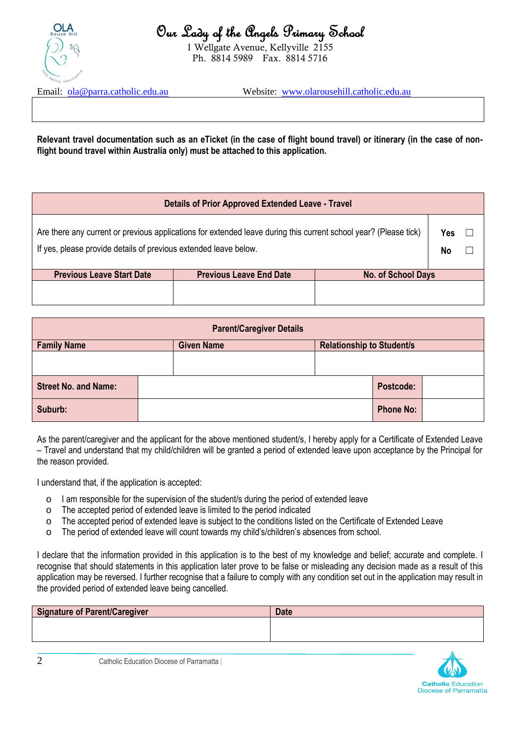

Our Lady of the Angels Primary School

1 Wellgate Avenue, Kellyville 2155 Ph. 8814 5989 Fax. 8814 5716

Email: [ola@parra.catholic.edu.au](mailto:ola@parra.catholic.edu.au) Website: [www.olarousehill.catholic.edu.au](http://www.olarousehill.catholic.edu.au/)

**Relevant travel documentation such as an eTicket (in the case of flight bound travel) or itinerary (in the case of nonflight bound travel within Australia only) must be attached to this application.**

| <b>Details of Prior Approved Extended Leave - Travel</b>                                                                                                                             |                                |                           |  |  |  |
|--------------------------------------------------------------------------------------------------------------------------------------------------------------------------------------|--------------------------------|---------------------------|--|--|--|
| Are there any current or previous applications for extended leave during this current school year? (Please tick)<br>If yes, please provide details of previous extended leave below. |                                |                           |  |  |  |
| <b>Previous Leave Start Date</b>                                                                                                                                                     | <b>Previous Leave End Date</b> | <b>No. of School Days</b> |  |  |  |
|                                                                                                                                                                                      |                                |                           |  |  |  |

| <b>Parent/Caregiver Details</b> |  |                   |  |                                  |                  |  |
|---------------------------------|--|-------------------|--|----------------------------------|------------------|--|
| <b>Family Name</b>              |  | <b>Given Name</b> |  | <b>Relationship to Student/s</b> |                  |  |
|                                 |  |                   |  |                                  |                  |  |
| <b>Street No. and Name:</b>     |  |                   |  |                                  | Postcode:        |  |
| Suburb:                         |  |                   |  |                                  | <b>Phone No:</b> |  |

As the parent/caregiver and the applicant for the above mentioned student/s, I hereby apply for a Certificate of Extended Leave – Travel and understand that my child/children will be granted a period of extended leave upon acceptance by the Principal for the reason provided.

I understand that, if the application is accepted:

- o I am responsible for the supervision of the student/s during the period of extended leave
- o The accepted period of extended leave is limited to the period indicated
- o The accepted period of extended leave is subject to the conditions listed on the Certificate of Extended Leave
- o The period of extended leave will count towards my child's/children's absences from school.

I declare that the information provided in this application is to the best of my knowledge and belief; accurate and complete. I recognise that should statements in this application later prove to be false or misleading any decision made as a result of this application may be reversed. I further recognise that a failure to comply with any condition set out in the application may result in the provided period of extended leave being cancelled.

| <b>Signature of Parent/Caregiver</b> | <b>Date</b> |
|--------------------------------------|-------------|
|                                      |             |
|                                      |             |